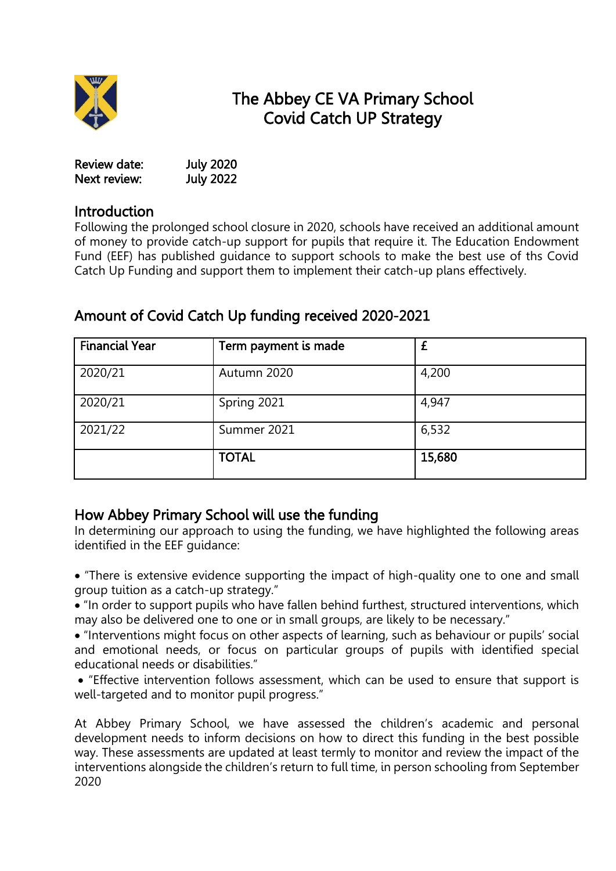

# The Abbey CE VA Primary School Covid Catch UP Strategy

| Review date: | <b>July 2020</b> |
|--------------|------------------|
| Next review: | <b>July 2022</b> |

### **Introduction**

Following the prolonged school closure in 2020, schools have received an additional amount of money to provide catch-up support for pupils that require it. The Education Endowment Fund (EEF) has published guidance to support schools to make the best use of ths Covid Catch Up Funding and support them to implement their catch-up plans effectively.

| <b>Financial Year</b> | Term payment is made |        |
|-----------------------|----------------------|--------|
| 2020/21               | Autumn 2020          | 4,200  |
| 2020/21               | Spring 2021          | 4,947  |
| 2021/22               | Summer 2021          | 6,532  |
|                       | <b>TOTAL</b>         | 15,680 |

## Amount of Covid Catch Up funding received 2020-2021

# How Abbey Primary School will use the funding

In determining our approach to using the funding, we have highlighted the following areas identified in the EEF guidance:

 "There is extensive evidence supporting the impact of high-quality one to one and small group tuition as a catch-up strategy."

 "In order to support pupils who have fallen behind furthest, structured interventions, which may also be delivered one to one or in small groups, are likely to be necessary."

 "Interventions might focus on other aspects of learning, such as behaviour or pupils' social and emotional needs, or focus on particular groups of pupils with identified special educational needs or disabilities."

 "Effective intervention follows assessment, which can be used to ensure that support is well-targeted and to monitor pupil progress."

At Abbey Primary School, we have assessed the children's academic and personal development needs to inform decisions on how to direct this funding in the best possible way. These assessments are updated at least termly to monitor and review the impact of the interventions alongside the children's return to full time, in person schooling from September 2020